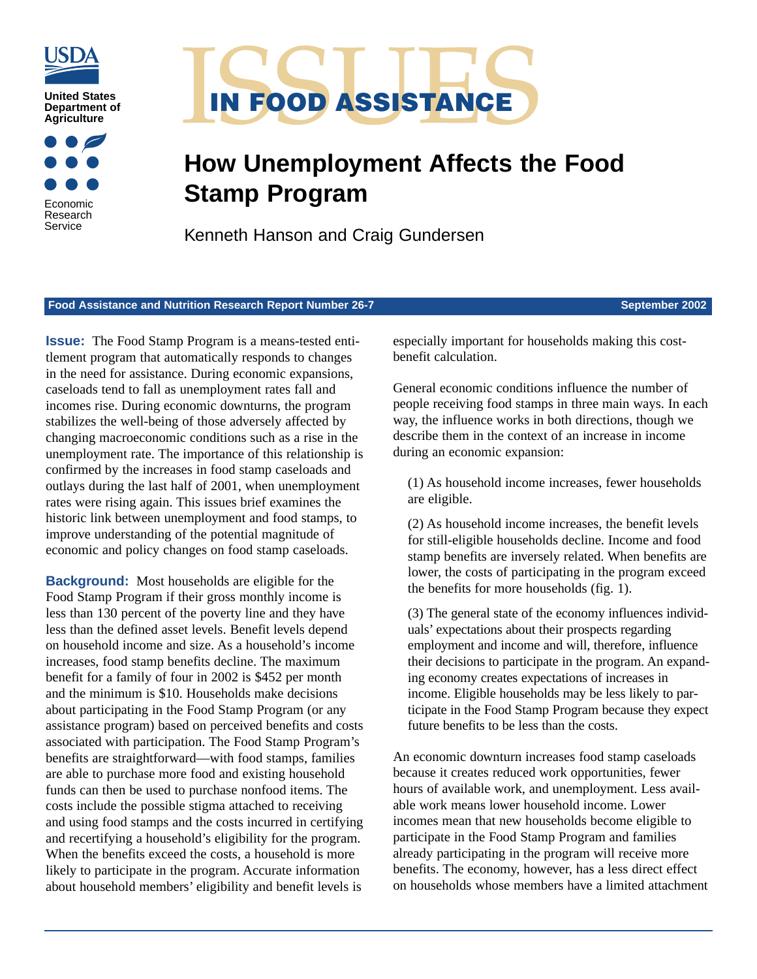





## **How Unemployment Affects the Food Stamp Program**

Kenneth Hanson and Craig Gundersen

**Food Assistance and Nutrition Research Report Number 26-7 September 2002** 

**Issue:** The Food Stamp Program is a means-tested entitlement program that automatically responds to changes in the need for assistance. During economic expansions, caseloads tend to fall as unemployment rates fall and incomes rise. During economic downturns, the program stabilizes the well-being of those adversely affected by changing macroeconomic conditions such as a rise in the unemployment rate. The importance of this relationship is confirmed by the increases in food stamp caseloads and outlays during the last half of 2001, when unemployment rates were rising again. This issues brief examines the historic link between unemployment and food stamps, to improve understanding of the potential magnitude of economic and policy changes on food stamp caseloads.

**Background:** Most households are eligible for the Food Stamp Program if their gross monthly income is less than 130 percent of the poverty line and they have less than the defined asset levels. Benefit levels depend on household income and size. As a household's income increases, food stamp benefits decline. The maximum benefit for a family of four in 2002 is \$452 per month and the minimum is \$10. Households make decisions about participating in the Food Stamp Program (or any assistance program) based on perceived benefits and costs associated with participation. The Food Stamp Program's benefits are straightforward—with food stamps, families are able to purchase more food and existing household funds can then be used to purchase nonfood items. The costs include the possible stigma attached to receiving and using food stamps and the costs incurred in certifying and recertifying a household's eligibility for the program. When the benefits exceed the costs, a household is more likely to participate in the program. Accurate information about household members' eligibility and benefit levels is

especially important for households making this costbenefit calculation.

General economic conditions influence the number of people receiving food stamps in three main ways. In each way, the influence works in both directions, though we describe them in the context of an increase in income during an economic expansion:

(1) As household income increases, fewer households are eligible.

(2) As household income increases, the benefit levels for still-eligible households decline. Income and food stamp benefits are inversely related. When benefits are lower, the costs of participating in the program exceed the benefits for more households (fig. 1).

(3) The general state of the economy influences individuals' expectations about their prospects regarding employment and income and will, therefore, influence their decisions to participate in the program. An expanding economy creates expectations of increases in income. Eligible households may be less likely to participate in the Food Stamp Program because they expect future benefits to be less than the costs.

An economic downturn increases food stamp caseloads because it creates reduced work opportunities, fewer hours of available work, and unemployment. Less available work means lower household income. Lower incomes mean that new households become eligible to participate in the Food Stamp Program and families already participating in the program will receive more benefits. The economy, however, has a less direct effect on households whose members have a limited attachment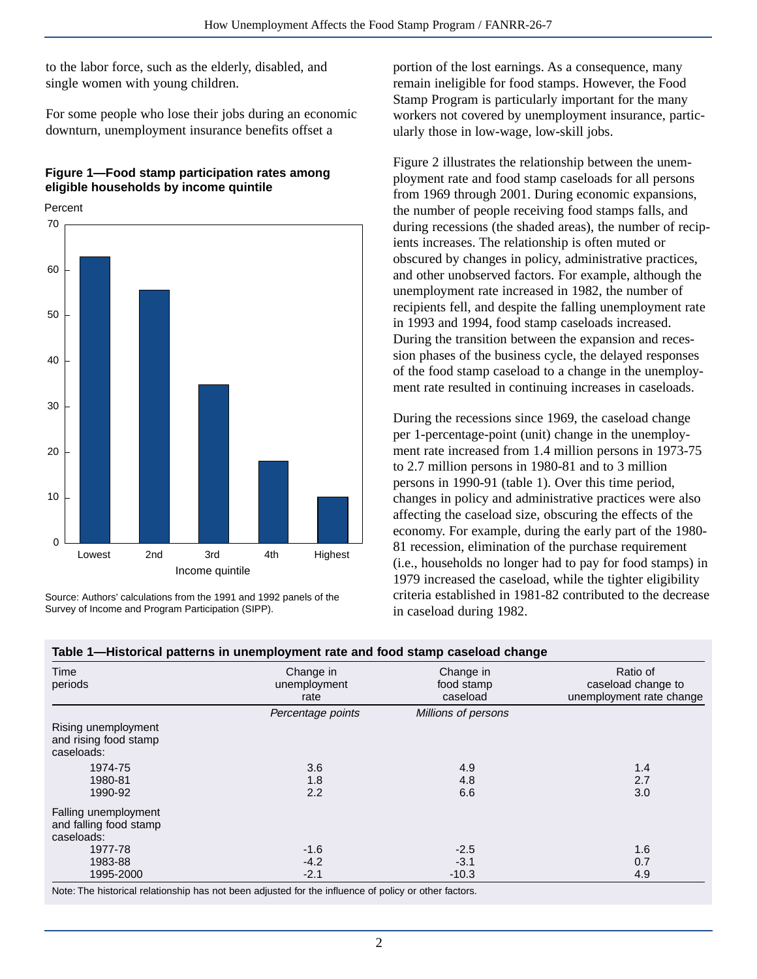to the labor force, such as the elderly, disabled, and single women with young children.

For some people who lose their jobs during an economic downturn, unemployment insurance benefits offset a

## **Figure 1—Food stamp participation rates among eligible households by income quintile**

Percent



Source: Authors' calculations from the 1991 and 1992 panels of the Survey of Income and Program Participation (SIPP).

portion of the lost earnings. As a consequence, many remain ineligible for food stamps. However, the Food Stamp Program is particularly important for the many workers not covered by unemployment insurance, particularly those in low-wage, low-skill jobs.

Figure 2 illustrates the relationship between the unemployment rate and food stamp caseloads for all persons from 1969 through 2001. During economic expansions, the number of people receiving food stamps falls, and during recessions (the shaded areas), the number of recipients increases. The relationship is often muted or obscured by changes in policy, administrative practices, and other unobserved factors. For example, although the unemployment rate increased in 1982, the number of recipients fell, and despite the falling unemployment rate in 1993 and 1994, food stamp caseloads increased. During the transition between the expansion and recession phases of the business cycle, the delayed responses of the food stamp caseload to a change in the unemployment rate resulted in continuing increases in caseloads.

During the recessions since 1969, the caseload change per 1-percentage-point (unit) change in the unemployment rate increased from 1.4 million persons in 1973-75 to 2.7 million persons in 1980-81 and to 3 million persons in 1990-91 (table 1). Over this time period, changes in policy and administrative practices were also affecting the caseload size, obscuring the effects of the economy. For example, during the early part of the 1980- 81 recession, elimination of the purchase requirement (i.e., households no longer had to pay for food stamps) in 1979 increased the caseload, while the tighter eligibility criteria established in 1981-82 contributed to the decrease in caseload during 1982.

| Time<br>periods                                              | Change in<br>unemployment<br>rate | Change in<br>food stamp<br>caseload | Ratio of<br>caseload change to<br>unemployment rate change |
|--------------------------------------------------------------|-----------------------------------|-------------------------------------|------------------------------------------------------------|
|                                                              | Percentage points                 | Millions of persons                 |                                                            |
| Rising unemployment<br>and rising food stamp<br>caseloads:   |                                   |                                     |                                                            |
| 1974-75                                                      | 3.6                               | 4.9                                 | 1.4                                                        |
| 1980-81                                                      | 1.8                               | 4.8                                 | 2.7                                                        |
| 1990-92                                                      | 2.2                               | 6.6                                 | 3.0                                                        |
| Falling unemployment<br>and falling food stamp<br>caseloads: |                                   |                                     |                                                            |
| 1977-78                                                      | $-1.6$                            | $-2.5$                              | 1.6                                                        |
| 1983-88                                                      | $-4.2$                            | $-3.1$                              | 0.7                                                        |
| 1995-2000                                                    | $-2.1$                            | $-10.3$                             | 4.9                                                        |

**Table 1—Historical patterns in unemployment rate and food stamp caseload change**

Note: The historical relationship has not been adjusted for the influence of policy or other factors.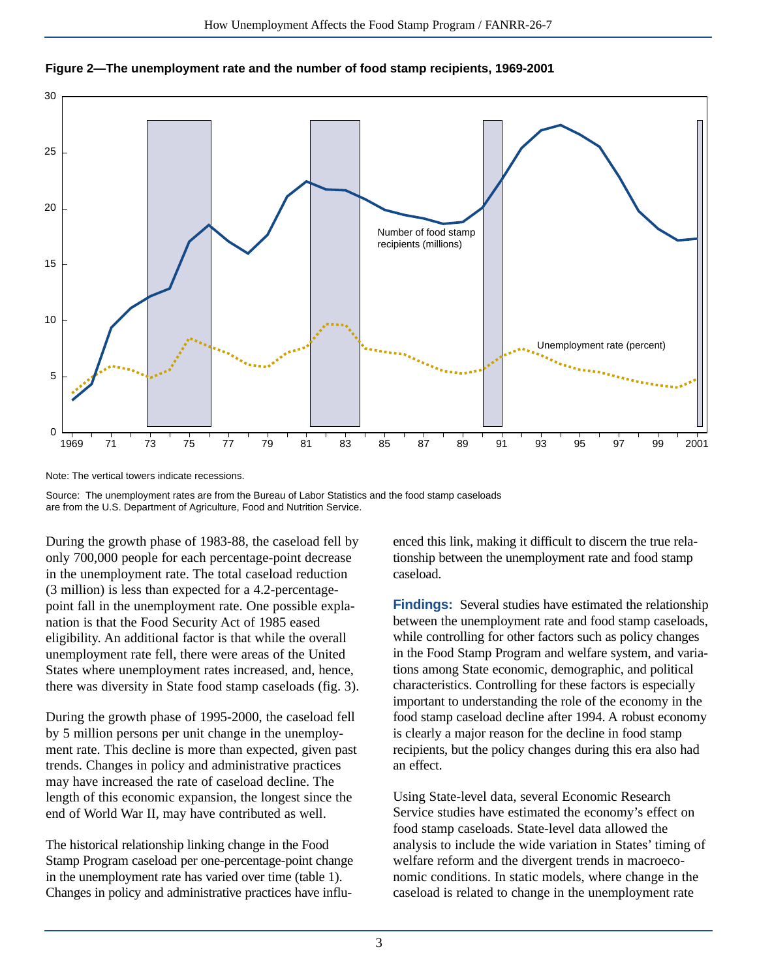



Note: The vertical towers indicate recessions.

Source: The unemployment rates are from the Bureau of Labor Statistics and the food stamp caseloads are from the U.S. Department of Agriculture, Food and Nutrition Service.

During the growth phase of 1983-88, the caseload fell by only 700,000 people for each percentage-point decrease in the unemployment rate. The total caseload reduction (3 million) is less than expected for a 4.2-percentagepoint fall in the unemployment rate. One possible explanation is that the Food Security Act of 1985 eased eligibility. An additional factor is that while the overall unemployment rate fell, there were areas of the United States where unemployment rates increased, and, hence, there was diversity in State food stamp caseloads (fig. 3).

During the growth phase of 1995-2000, the caseload fell by 5 million persons per unit change in the unemployment rate. This decline is more than expected, given past trends. Changes in policy and administrative practices may have increased the rate of caseload decline. The length of this economic expansion, the longest since the end of World War II, may have contributed as well.

The historical relationship linking change in the Food Stamp Program caseload per one-percentage-point change in the unemployment rate has varied over time (table 1). Changes in policy and administrative practices have influenced this link, making it difficult to discern the true relationship between the unemployment rate and food stamp caseload.

**Findings:** Several studies have estimated the relationship between the unemployment rate and food stamp caseloads, while controlling for other factors such as policy changes in the Food Stamp Program and welfare system, and variations among State economic, demographic, and political characteristics. Controlling for these factors is especially important to understanding the role of the economy in the food stamp caseload decline after 1994. A robust economy is clearly a major reason for the decline in food stamp recipients, but the policy changes during this era also had an effect.

Using State-level data, several Economic Research Service studies have estimated the economy's effect on food stamp caseloads. State-level data allowed the analysis to include the wide variation in States' timing of welfare reform and the divergent trends in macroeconomic conditions. In static models, where change in the caseload is related to change in the unemployment rate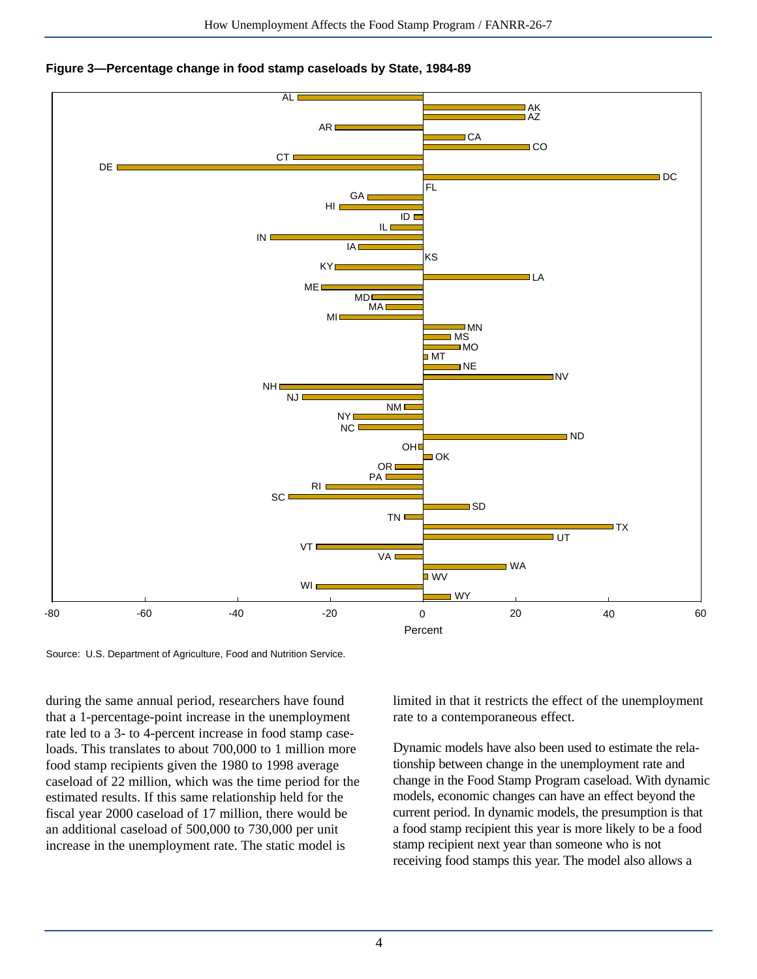



Source: U.S. Department of Agriculture, Food and Nutrition Service.

during the same annual period, researchers have found that a 1-percentage-point increase in the unemployment rate led to a 3- to 4-percent increase in food stamp caseloads. This translates to about 700,000 to 1 million more food stamp recipients given the 1980 to 1998 average caseload of 22 million, which was the time period for the estimated results. If this same relationship held for the fiscal year 2000 caseload of 17 million, there would be an additional caseload of 500,000 to 730,000 per unit increase in the unemployment rate. The static model is

limited in that it restricts the effect of the unemployment rate to a contemporaneous effect.

Dynamic models have also been used to estimate the relationship between change in the unemployment rate and change in the Food Stamp Program caseload. With dynamic models, economic changes can have an effect beyond the current period. In dynamic models, the presumption is that a food stamp recipient this year is more likely to be a food stamp recipient next year than someone who is not receiving food stamps this year. The model also allows a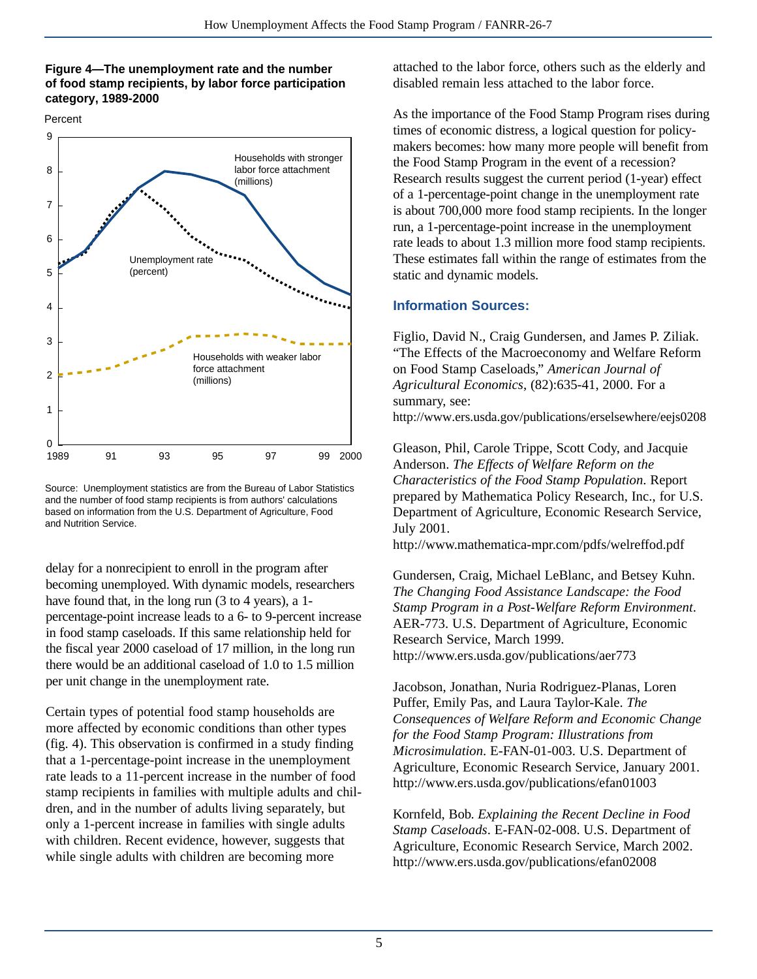## **Figure 4—The unemployment rate and the number of food stamp recipients, by labor force participation category, 1989-2000**

Percent



Source: Unemployment statistics are from the Bureau of Labor Statistics and the number of food stamp recipients is from authors' calculations based on information from the U.S. Department of Agriculture, Food and Nutrition Service.

delay for a nonrecipient to enroll in the program after becoming unemployed. With dynamic models, researchers have found that, in the long run (3 to 4 years), a 1 percentage-point increase leads to a 6- to 9-percent increase in food stamp caseloads. If this same relationship held for the fiscal year 2000 caseload of 17 million, in the long run there would be an additional caseload of 1.0 to 1.5 million per unit change in the unemployment rate.

Certain types of potential food stamp households are more affected by economic conditions than other types (fig. 4). This observation is confirmed in a study finding that a 1-percentage-point increase in the unemployment rate leads to a 11-percent increase in the number of food stamp recipients in families with multiple adults and children, and in the number of adults living separately, but only a 1-percent increase in families with single adults with children. Recent evidence, however, suggests that while single adults with children are becoming more

attached to the labor force, others such as the elderly and disabled remain less attached to the labor force.

As the importance of the Food Stamp Program rises during times of economic distress, a logical question for policymakers becomes: how many more people will benefit from the Food Stamp Program in the event of a recession? Research results suggest the current period (1-year) effect of a 1-percentage-point change in the unemployment rate is about 700,000 more food stamp recipients. In the longer run, a 1-percentage-point increase in the unemployment rate leads to about 1.3 million more food stamp recipients. These estimates fall within the range of estimates from the static and dynamic models.

## **Information Sources:**

Figlio, David N., Craig Gundersen, and James P. Ziliak. "The Effects of the Macroeconomy and Welfare Reform on Food Stamp Caseloads," *American Journal of Agricultural Economics*, (82):635-41, 2000. For a summary, see:

http://www.ers.usda.gov/publications/erselsewhere/eejs0208

Gleason, Phil, Carole Trippe, Scott Cody, and Jacquie Anderson. *The Effects of Welfare Reform on the Characteristics of the Food Stamp Population*. Report prepared by Mathematica Policy Research, Inc., for U.S. Department of Agriculture, Economic Research Service, July 2001.

http://www.mathematica-mpr.com/pdfs/welreffod.pdf

Gundersen, Craig, Michael LeBlanc, and Betsey Kuhn. *The Changing Food Assistance Landscape: the Food Stamp Program in a Post-Welfare Reform Environment*. AER-773. U.S. Department of Agriculture, Economic Research Service, March 1999. http://www.ers.usda.gov/publications/aer773

Jacobson, Jonathan, Nuria Rodriguez-Planas, Loren Puffer, Emily Pas, and Laura Taylor-Kale. *The Consequences of Welfare Reform and Economic Change for the Food Stamp Program: Illustrations from Microsimulation*. E-FAN-01-003. U.S. Department of Agriculture, Economic Research Service, January 2001. http://www.ers.usda.gov/publications/efan01003

Kornfeld, Bob. *Explaining the Recent Decline in Food Stamp Caseloads*. E-FAN-02-008. U.S. Department of Agriculture, Economic Research Service, March 2002. http://www.ers.usda.gov/publications/efan02008